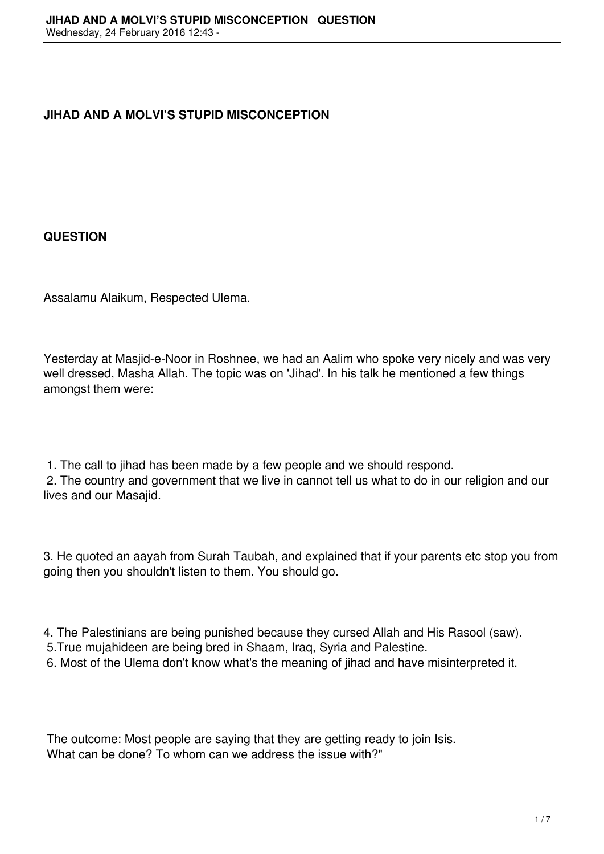# **JIHAD AND A MOLVI'S STUPID MISCONCEPTION**

## **QUESTION**

Assalamu Alaikum, Respected Ulema.

Yesterday at Masjid-e-Noor in Roshnee, we had an Aalim who spoke very nicely and was very well dressed, Masha Allah. The topic was on 'Jihad'. In his talk he mentioned a few things amongst them were:

1. The call to jihad has been made by a few people and we should respond.

 2. The country and government that we live in cannot tell us what to do in our religion and our lives and our Masajid.

3. He quoted an aayah from Surah Taubah, and explained that if your parents etc stop you from going then you shouldn't listen to them. You should go.

4. The Palestinians are being punished because they cursed Allah and His Rasool (saw).

5.True mujahideen are being bred in Shaam, Iraq, Syria and Palestine.

6. Most of the Ulema don't know what's the meaning of jihad and have misinterpreted it.

 The outcome: Most people are saying that they are getting ready to join Isis. What can be done? To whom can we address the issue with?"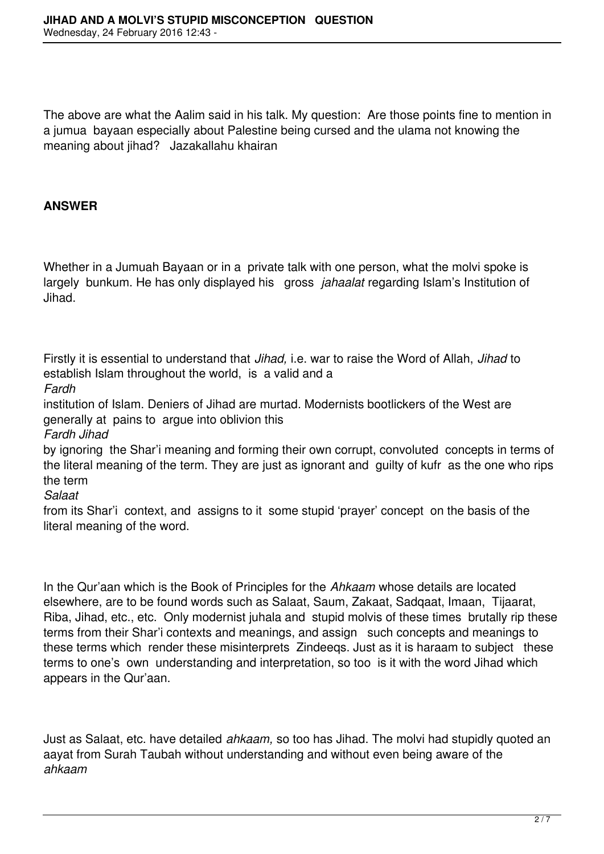The above are what the Aalim said in his talk. My question: Are those points fine to mention in a jumua bayaan especially about Palestine being cursed and the ulama not knowing the meaning about jihad? Jazakallahu khairan

# **ANSWER**

Whether in a Jumuah Bayaan or in a private talk with one person, what the molvi spoke is largely bunkum. He has only displayed his gross *jahaalat* regarding Islam's Institution of Jihad.

Firstly it is essential to understand that *Jihad,* i.e. war to raise the Word of Allah, *Jihad* to establish Islam throughout the world, is a valid and a

*Fardh* 

institution of Islam. Deniers of Jihad are murtad. Modernists bootlickers of the West are generally at pains to argue into oblivion this

*Fardh Jihad*

by ignoring the Shar'i meaning and forming their own corrupt, convoluted concepts in terms of the literal meaning of the term. They are just as ignorant and guilty of kufr as the one who rips the term

*Salaat*

from its Shar'i context, and assigns to it some stupid 'prayer' concept on the basis of the literal meaning of the word.

In the Qur'aan which is the Book of Principles for the *Ahkaam* whose details are located elsewhere, are to be found words such as Salaat, Saum, Zakaat, Sadqaat, Imaan, Tijaarat, Riba, Jihad, etc., etc. Only modernist juhala and stupid molvis of these times brutally rip these terms from their Shar'i contexts and meanings, and assign such concepts and meanings to these terms which render these misinterprets Zindeeqs. Just as it is haraam to subject these terms to one's own understanding and interpretation, so too is it with the word Jihad which appears in the Qur'aan.

Just as Salaat, etc. have detailed *ahkaam,* so too has Jihad. The molvi had stupidly quoted an aayat from Surah Taubah without understanding and without even being aware of the *ahkaam*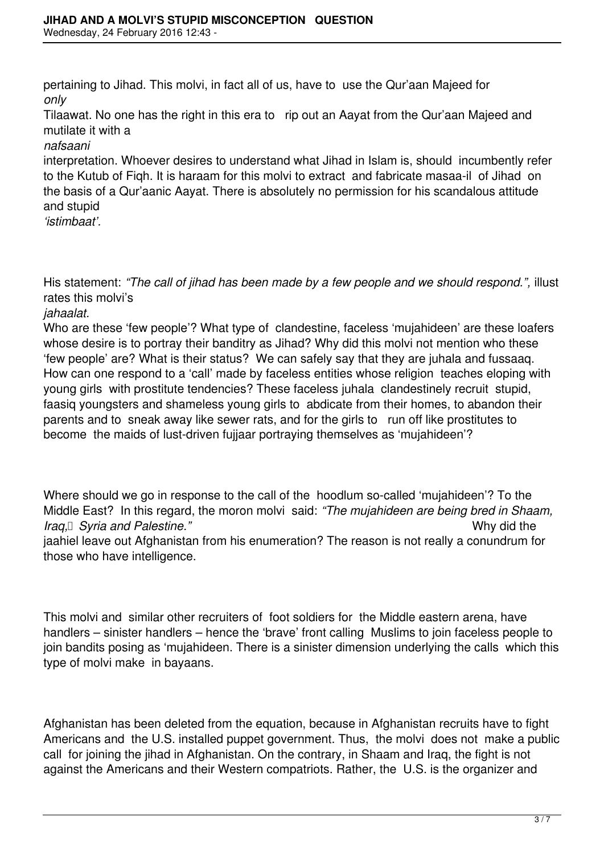pertaining to Jihad. This molvi, in fact all of us, have to use the Qur'aan Majeed for *only* 

Tilaawat. No one has the right in this era to rip out an Aayat from the Qur'aan Majeed and mutilate it with a

## *nafsaani*

interpretation. Whoever desires to understand what Jihad in Islam is, should incumbently refer to the Kutub of Fiqh. It is haraam for this molvi to extract and fabricate masaa-il of Jihad on the basis of a Qur'aanic Aayat. There is absolutely no permission for his scandalous attitude and stupid

*'istimbaat'.*

His statement: "The call of jihad has been made by a few people and we should respond.", illust rates this molvi's

## *jahaalat.*

Who are these 'few people'? What type of clandestine, faceless 'mujahideen' are these loafers whose desire is to portray their banditry as Jihad? Why did this molvi not mention who these 'few people' are? What is their status? We can safely say that they are juhala and fussaaq. How can one respond to a 'call' made by faceless entities whose religion teaches eloping with young girls with prostitute tendencies? These faceless juhala clandestinely recruit stupid, faasiq youngsters and shameless young girls to abdicate from their homes, to abandon their parents and to sneak away like sewer rats, and for the girls to run off like prostitutes to become the maids of lust-driven fujjaar portraying themselves as 'mujahideen'?

Where should we go in response to the call of the hoodlum so-called 'mujahideen'? To the Middle East? In this regard, the moron molvi said: *"The mujahideen are being bred in Shaam, Iraq, Syria and Palestine.*" *Iraq, <i>I* Syria and Palestine." jaahiel leave out Afghanistan from his enumeration? The reason is not really a conundrum for those who have intelligence.

This molvi and similar other recruiters of foot soldiers for the Middle eastern arena, have handlers – sinister handlers – hence the 'brave' front calling Muslims to join faceless people to join bandits posing as 'mujahideen. There is a sinister dimension underlying the calls which this type of molvi make in bayaans.

Afghanistan has been deleted from the equation, because in Afghanistan recruits have to fight Americans and the U.S. installed puppet government. Thus, the molvi does not make a public call for joining the jihad in Afghanistan. On the contrary, in Shaam and Iraq, the fight is not against the Americans and their Western compatriots. Rather, the U.S. is the organizer and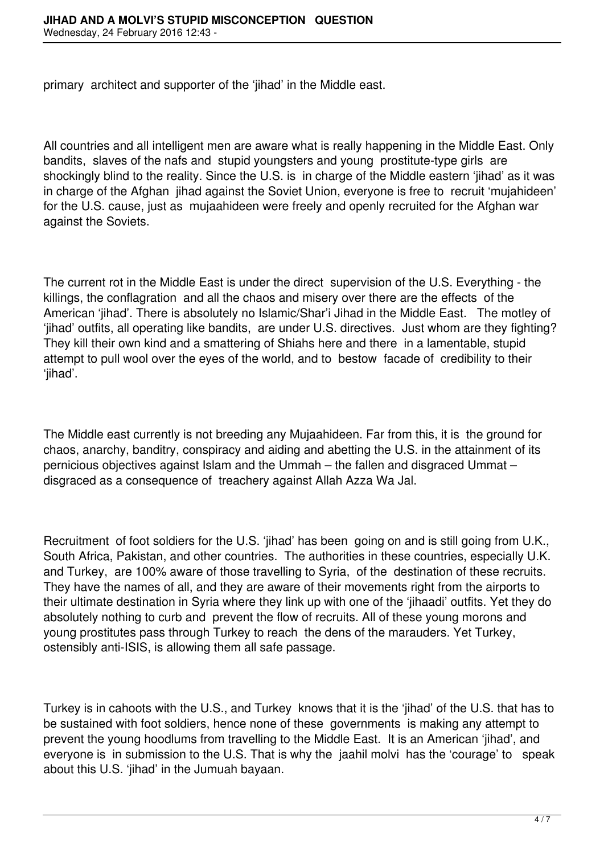primary architect and supporter of the 'jihad' in the Middle east.

All countries and all intelligent men are aware what is really happening in the Middle East. Only bandits, slaves of the nafs and stupid youngsters and young prostitute-type girls are shockingly blind to the reality. Since the U.S. is in charge of the Middle eastern 'jihad' as it was in charge of the Afghan jihad against the Soviet Union, everyone is free to recruit 'mujahideen' for the U.S. cause, just as mujaahideen were freely and openly recruited for the Afghan war against the Soviets.

The current rot in the Middle East is under the direct supervision of the U.S. Everything - the killings, the conflagration and all the chaos and misery over there are the effects of the American 'jihad'. There is absolutely no Islamic/Shar'i Jihad in the Middle East. The motley of 'jihad' outfits, all operating like bandits, are under U.S. directives. Just whom are they fighting? They kill their own kind and a smattering of Shiahs here and there in a lamentable, stupid attempt to pull wool over the eyes of the world, and to bestow facade of credibility to their 'jihad'.

The Middle east currently is not breeding any Mujaahideen. Far from this, it is the ground for chaos, anarchy, banditry, conspiracy and aiding and abetting the U.S. in the attainment of its pernicious objectives against Islam and the Ummah – the fallen and disgraced Ummat – disgraced as a consequence of treachery against Allah Azza Wa Jal.

Recruitment of foot soldiers for the U.S. 'jihad' has been going on and is still going from U.K., South Africa, Pakistan, and other countries. The authorities in these countries, especially U.K. and Turkey, are 100% aware of those travelling to Syria, of the destination of these recruits. They have the names of all, and they are aware of their movements right from the airports to their ultimate destination in Syria where they link up with one of the 'jihaadi' outfits. Yet they do absolutely nothing to curb and prevent the flow of recruits. All of these young morons and young prostitutes pass through Turkey to reach the dens of the marauders. Yet Turkey, ostensibly anti-ISIS, is allowing them all safe passage.

Turkey is in cahoots with the U.S., and Turkey knows that it is the 'jihad' of the U.S. that has to be sustained with foot soldiers, hence none of these governments is making any attempt to prevent the young hoodlums from travelling to the Middle East. It is an American 'jihad', and evervone is in submission to the U.S. That is why the jaahil molvi has the 'courage' to speak about this U.S. 'jihad' in the Jumuah bayaan.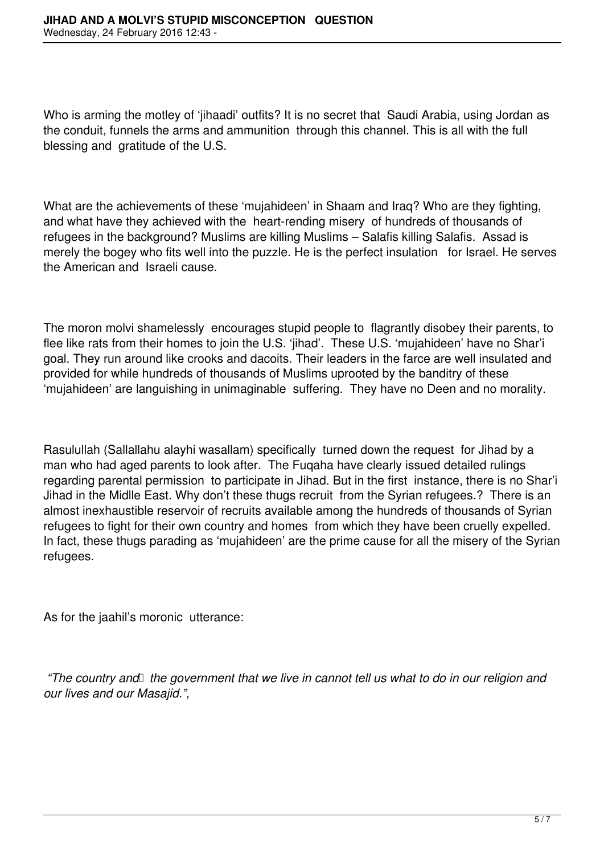Who is arming the motley of 'jihaadi' outfits? It is no secret that Saudi Arabia, using Jordan as the conduit, funnels the arms and ammunition through this channel. This is all with the full blessing and gratitude of the U.S.

What are the achievements of these 'mujahideen' in Shaam and Iraq? Who are they fighting, and what have they achieved with the heart-rending misery of hundreds of thousands of refugees in the background? Muslims are killing Muslims – Salafis killing Salafis. Assad is merely the bogey who fits well into the puzzle. He is the perfect insulation for Israel. He serves the American and Israeli cause.

The moron molvi shamelessly encourages stupid people to flagrantly disobey their parents, to flee like rats from their homes to join the U.S. 'jihad'. These U.S. 'mujahideen' have no Shar'i goal. They run around like crooks and dacoits. Their leaders in the farce are well insulated and provided for while hundreds of thousands of Muslims uprooted by the banditry of these 'mujahideen' are languishing in unimaginable suffering. They have no Deen and no morality.

Rasulullah (Sallallahu alayhi wasallam) specifically turned down the request for Jihad by a man who had aged parents to look after. The Fuqaha have clearly issued detailed rulings regarding parental permission to participate in Jihad. But in the first instance, there is no Shar'i Jihad in the Midlle East. Why don't these thugs recruit from the Syrian refugees.? There is an almost inexhaustible reservoir of recruits available among the hundreds of thousands of Syrian refugees to fight for their own country and homes from which they have been cruelly expelled. In fact, these thugs parading as 'mujahideen' are the prime cause for all the misery of the Syrian refugees.

As for the jaahil's moronic utterance:

*"The country and the government that we live in cannot tell us what to do in our religion and our lives and our Masajid.",*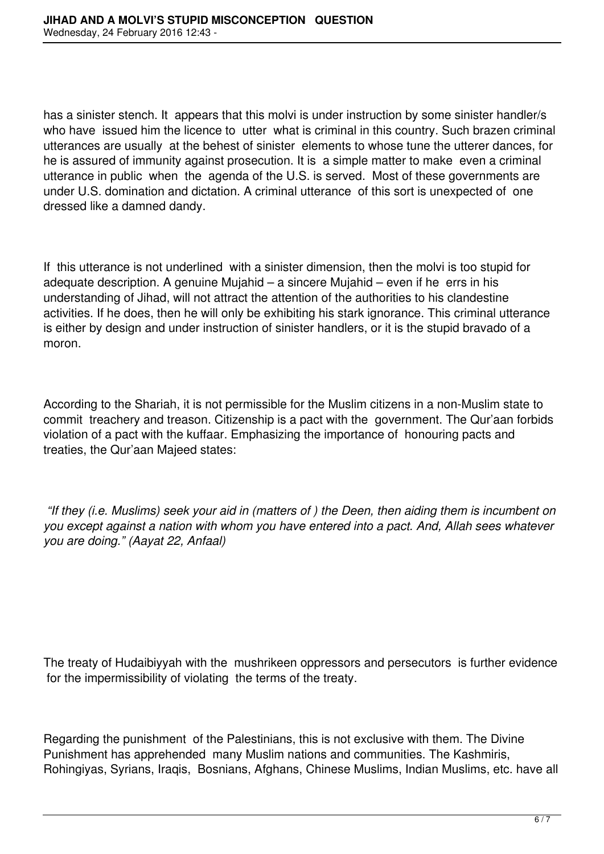has a sinister stench. It appears that this molvi is under instruction by some sinister handler/s who have issued him the licence to utter what is criminal in this country. Such brazen criminal utterances are usually at the behest of sinister elements to whose tune the utterer dances, for he is assured of immunity against prosecution. It is a simple matter to make even a criminal utterance in public when the agenda of the U.S. is served. Most of these governments are under U.S. domination and dictation. A criminal utterance of this sort is unexpected of one dressed like a damned dandy.

If this utterance is not underlined with a sinister dimension, then the molvi is too stupid for adequate description. A genuine Mujahid – a sincere Mujahid – even if he errs in his understanding of Jihad, will not attract the attention of the authorities to his clandestine activities. If he does, then he will only be exhibiting his stark ignorance. This criminal utterance is either by design and under instruction of sinister handlers, or it is the stupid bravado of a moron.

According to the Shariah, it is not permissible for the Muslim citizens in a non-Muslim state to commit treachery and treason. Citizenship is a pact with the government. The Qur'aan forbids violation of a pact with the kuffaar. Emphasizing the importance of honouring pacts and treaties, the Qur'aan Majeed states:

*"If they (i.e. Muslims) seek your aid in (matters of ) the Deen, then aiding them is incumbent on you except against a nation with whom you have entered into a pact. And, Allah sees whatever you are doing." (Aayat 22, Anfaal)*

The treaty of Hudaibiyyah with the mushrikeen oppressors and persecutors is further evidence for the impermissibility of violating the terms of the treaty.

Regarding the punishment of the Palestinians, this is not exclusive with them. The Divine Punishment has apprehended many Muslim nations and communities. The Kashmiris, Rohingiyas, Syrians, Iraqis, Bosnians, Afghans, Chinese Muslims, Indian Muslims, etc. have all